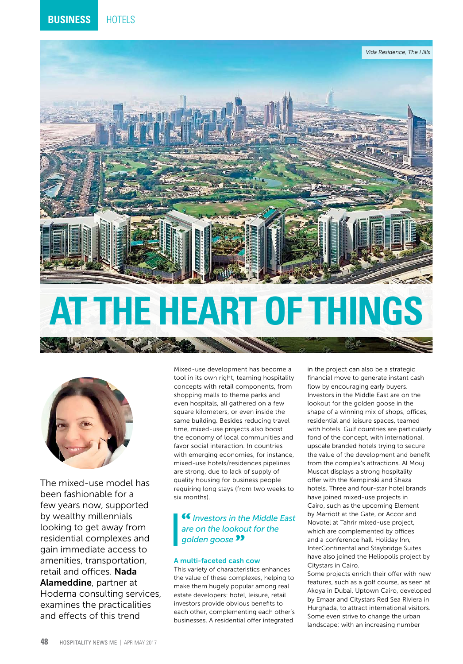



The mixed-use model has been fashionable for a few years now, supported by wealthy millennials looking to get away from residential complexes and gain immediate access to amenities, transportation, retail and offices. Nada Alameddine, partner at Hodema consulting services, examines the practicalities and effects of this trend

Mixed-use development has become a tool in its own right, teaming hospitality concepts with retail components, from shopping malls to theme parks and even hospitals, all gathered on a few square kilometers, or even inside the same building. Besides reducing travel time, mixed-use projects also boost the economy of local communities and favor social interaction. In countries with emerging economies, for instance, mixed-use hotels/residences pipelines are strong, due to lack of supply of quality housing for business people requiring long stays (from two weeks to six months).

### *Investors in the Middle East are on the lookout for the golden goose*

#### A multi-faceted cash cow

This variety of characteristics enhances the value of these complexes, helping to make them hugely popular among real estate developers: hotel, leisure, retail investors provide obvious benefits to each other, complementing each other's businesses. A residential offer integrated

in the project can also be a strategic financial move to generate instant cash flow by encouraging early buyers. Investors in the Middle East are on the lookout for the golden goose in the shape of a winning mix of shops, offices, residential and leisure spaces, teamed with hotels. Gulf countries are particularly fond of the concept, with international, upscale branded hotels trying to secure the value of the development and benefit from the complex's attractions. Al Mouj Muscat displays a strong hospitality offer with the Kempinski and Shaza hotels. Three and four-star hotel brands have joined mixed-use projects in Cairo, such as the upcoming Element by Marriott at the Gate, or Accor and Novotel at Tahrir mixed-use project, which are complemented by offices and a conference hall. Holiday Inn, InterContinental and Staybridge Suites have also joined the Heliopolis project by Citystars in Cairo.

Some projects enrich their offer with new features, such as a golf course, as seen at Akoya in Dubai, Uptown Cairo, developed by Emaar and Citystars Red Sea Riviera in Hurghada, to attract international visitors. Some even strive to change the urban landscape; with an increasing number